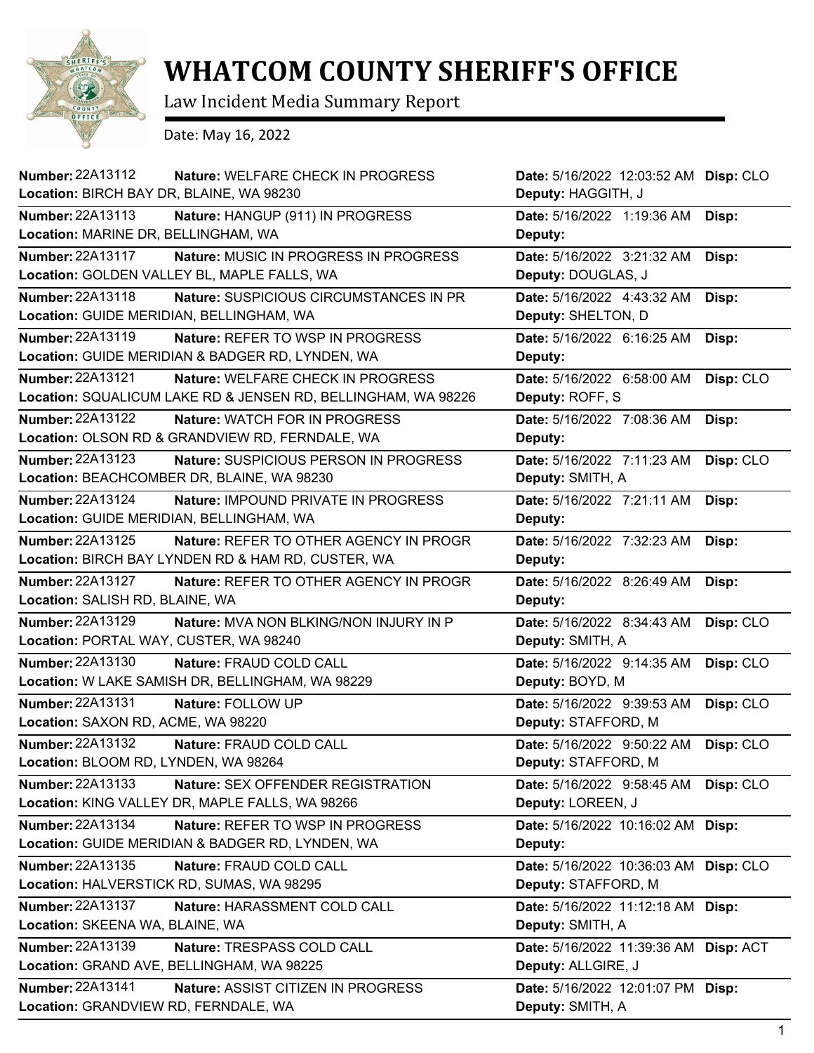

## **WHATCOM COUNTY SHERIFF'S OFFICE**

Law Incident Media Summary Report

Date: May 16, 2022

| Number: 22A13112<br>Nature: WELFARE CHECK IN PROGRESS<br>Location: BIRCH BAY DR, BLAINE, WA 98230 | Date: 5/16/2022 12:03:52 AM Disp: CLO<br>Deputy: HAGGITH, J |           |
|---------------------------------------------------------------------------------------------------|-------------------------------------------------------------|-----------|
| <b>Number: 22A13113</b><br>Nature: HANGUP (911) IN PROGRESS                                       | Date: 5/16/2022 1:19:36 AM                                  | Disp:     |
| Location: MARINE DR, BELLINGHAM, WA                                                               | Deputy:                                                     |           |
| <b>Number: 22A13117</b><br>Nature: MUSIC IN PROGRESS IN PROGRESS                                  | Date: 5/16/2022 3:21:32 AM                                  | Disp:     |
| Location: GOLDEN VALLEY BL, MAPLE FALLS, WA                                                       | Deputy: DOUGLAS, J                                          |           |
| <b>Number: 22A13118</b><br>Nature: SUSPICIOUS CIRCUMSTANCES IN PR                                 | Date: 5/16/2022 4:43:32 AM                                  | Disp:     |
| Location: GUIDE MERIDIAN, BELLINGHAM, WA                                                          | Deputy: SHELTON, D                                          |           |
| Number: 22A13119<br>Nature: REFER TO WSP IN PROGRESS                                              | Date: 5/16/2022 6:16:25 AM                                  | Disp:     |
| Location: GUIDE MERIDIAN & BADGER RD, LYNDEN, WA                                                  | Deputy:                                                     |           |
| Number: 22A13121<br>Nature: WELFARE CHECK IN PROGRESS                                             | Date: 5/16/2022 6:58:00 AM                                  | Disp: CLO |
| Location: SQUALICUM LAKE RD & JENSEN RD, BELLINGHAM, WA 98226                                     | Deputy: ROFF, S                                             |           |
| <b>Number: 22A13122</b><br><b>Nature: WATCH FOR IN PROGRESS</b>                                   | Date: 5/16/2022 7:08:36 AM                                  | Disp:     |
| Location: OLSON RD & GRANDVIEW RD, FERNDALE, WA                                                   | Deputy:                                                     |           |
| Number: 22A13123<br>Nature: SUSPICIOUS PERSON IN PROGRESS                                         | Date: 5/16/2022 7:11:23 AM                                  | Disp: CLO |
| Location: BEACHCOMBER DR, BLAINE, WA 98230                                                        | Deputy: SMITH, A                                            |           |
| Number: 22A13124<br><b>Nature: IMPOUND PRIVATE IN PROGRESS</b>                                    | Date: 5/16/2022 7:21:11 AM                                  | Disp:     |
| Location: GUIDE MERIDIAN, BELLINGHAM, WA                                                          | Deputy:                                                     |           |
| Number: 22A13125<br><b>Nature: REFER TO OTHER AGENCY IN PROGR</b>                                 | Date: 5/16/2022 7:32:23 AM                                  | Disp:     |
| Location: BIRCH BAY LYNDEN RD & HAM RD, CUSTER, WA                                                | Deputy:                                                     |           |
| <b>Number: 22A13127</b><br>Nature: REFER TO OTHER AGENCY IN PROGR                                 | Date: 5/16/2022 8:26:49 AM                                  | Disp:     |
| Location: SALISH RD, BLAINE, WA                                                                   | Deputy:                                                     |           |
| Number: 22A13129<br>Nature: MVA NON BLKING/NON INJURY IN P                                        | Date: 5/16/2022 8:34:43 AM                                  | Disp: CLO |
| Location: PORTAL WAY, CUSTER, WA 98240                                                            | Deputy: SMITH, A                                            |           |
| Number: 22A13130<br>Nature: FRAUD COLD CALL                                                       | Date: 5/16/2022 9:14:35 AM                                  | Disp: CLO |
| Location: W LAKE SAMISH DR, BELLINGHAM, WA 98229                                                  | Deputy: BOYD, M                                             |           |
| Number: 22A13131<br>Nature: FOLLOW UP                                                             | Date: 5/16/2022 9:39:53 AM                                  | Disp: CLO |
| Location: SAXON RD, ACME, WA 98220                                                                | Deputy: STAFFORD, M                                         |           |
| Number: 22A13132<br>Nature: FRAUD COLD CALL                                                       | Date: 5/16/2022 9:50:22 AM                                  | Disp: CLO |
| Location: BLOOM RD, LYNDEN, WA 98264                                                              | Deputy: STAFFORD, M                                         |           |
| Number: 22A13133<br>Nature: SEX OFFENDER REGISTRATION                                             | Date: 5/16/2022 9:58:45 AM                                  | Disp: CLO |
| Location: KING VALLEY DR, MAPLE FALLS, WA 98266                                                   | Deputy: LOREEN, J                                           |           |
| Number: 22A13134<br>Nature: REFER TO WSP IN PROGRESS                                              | Date: 5/16/2022 10:16:02 AM Disp:                           |           |
| Location: GUIDE MERIDIAN & BADGER RD, LYNDEN, WA                                                  | Deputy:                                                     |           |
| Number: 22A13135<br>Nature: FRAUD COLD CALL                                                       | Date: 5/16/2022 10:36:03 AM Disp: CLO                       |           |
| Location: HALVERSTICK RD, SUMAS, WA 98295                                                         | Deputy: STAFFORD, M                                         |           |
| <b>Number: 22A13137</b><br>Nature: HARASSMENT COLD CALL                                           | Date: 5/16/2022 11:12:18 AM Disp:                           |           |
| Location: SKEENA WA, BLAINE, WA                                                                   | Deputy: SMITH, A                                            |           |
| Number: 22A13139<br>Nature: TRESPASS COLD CALL                                                    | Date: 5/16/2022 11:39:36 AM Disp: ACT                       |           |
| Location: GRAND AVE, BELLINGHAM, WA 98225                                                         | Deputy: ALLGIRE, J                                          |           |
| <b>Number: 22A13141</b><br>Nature: ASSIST CITIZEN IN PROGRESS                                     | Date: 5/16/2022 12:01:07 PM Disp:                           |           |
|                                                                                                   |                                                             |           |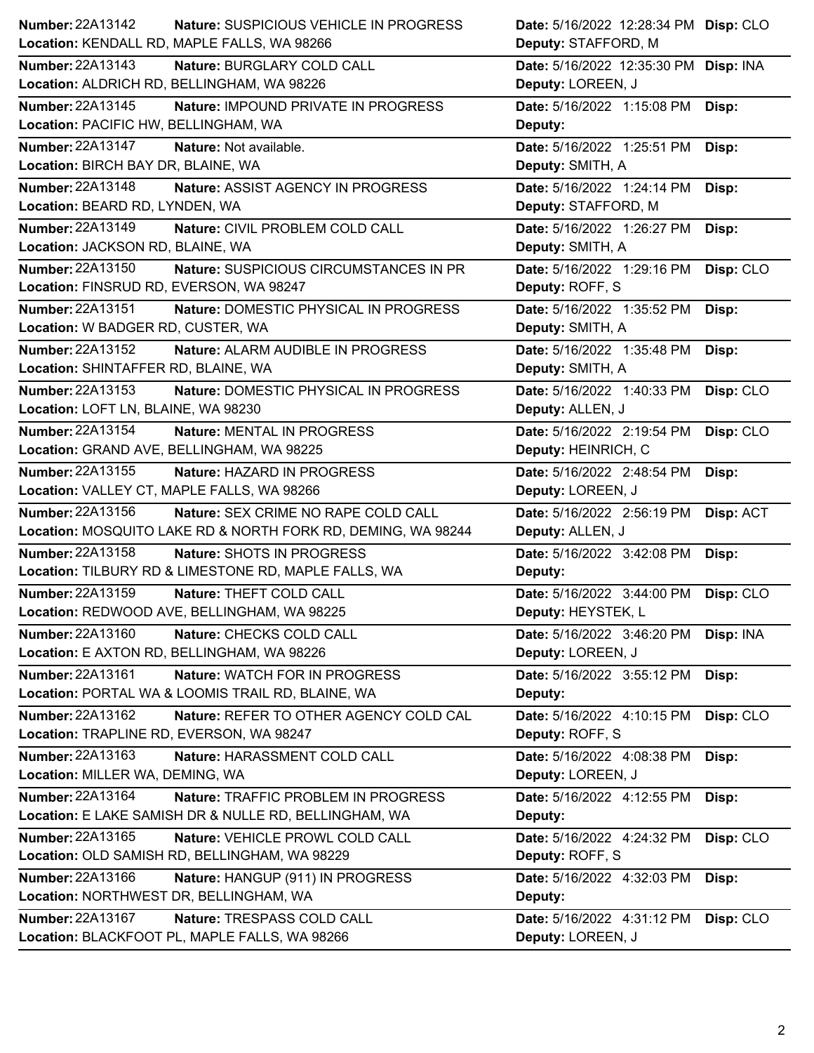| Number: 22A13142                                             | Nature: SUSPICIOUS VEHICLE IN PROGRESS                                                       | Date: 5/16/2022 12:28:34 PM Disp: CLO           |           |
|--------------------------------------------------------------|----------------------------------------------------------------------------------------------|-------------------------------------------------|-----------|
|                                                              | Location: KENDALL RD, MAPLE FALLS, WA 98266                                                  | Deputy: STAFFORD, M                             |           |
| <b>Number: 22A13143</b>                                      | Nature: BURGLARY COLD CALL                                                                   | Date: 5/16/2022 12:35:30 PM Disp: INA           |           |
|                                                              | Location: ALDRICH RD, BELLINGHAM, WA 98226                                                   | Deputy: LOREEN, J                               |           |
| Number: 22A13145                                             | Nature: IMPOUND PRIVATE IN PROGRESS                                                          | Date: 5/16/2022 1:15:08 PM                      | Disp:     |
| Location: PACIFIC HW, BELLINGHAM, WA                         |                                                                                              | Deputy:                                         |           |
| Number: 22A13147                                             | Nature: Not available.                                                                       | Date: 5/16/2022 1:25:51 PM                      | Disp:     |
| Location: BIRCH BAY DR, BLAINE, WA                           |                                                                                              | Deputy: SMITH, A                                |           |
| Number: 22A13148                                             | <b>Nature: ASSIST AGENCY IN PROGRESS</b>                                                     | Date: 5/16/2022 1:24:14 PM                      | Disp:     |
| Location: BEARD RD, LYNDEN, WA                               |                                                                                              | Deputy: STAFFORD, M                             |           |
| Number: 22A13149                                             | Nature: CIVIL PROBLEM COLD CALL                                                              | Date: 5/16/2022 1:26:27 PM                      | Disp:     |
| Location: JACKSON RD, BLAINE, WA                             |                                                                                              | Deputy: SMITH, A                                |           |
| Number: 22A13150                                             | Nature: SUSPICIOUS CIRCUMSTANCES IN PR                                                       | Date: 5/16/2022 1:29:16 PM                      | Disp: CLO |
| Location: FINSRUD RD, EVERSON, WA 98247                      |                                                                                              | Deputy: ROFF, S                                 |           |
| Number: 22A13151                                             | Nature: DOMESTIC PHYSICAL IN PROGRESS                                                        | Date: 5/16/2022 1:35:52 PM                      | Disp:     |
| Location: W BADGER RD, CUSTER, WA                            |                                                                                              | Deputy: SMITH, A                                |           |
| Number: 22A13152                                             | Nature: ALARM AUDIBLE IN PROGRESS                                                            | Date: 5/16/2022 1:35:48 PM                      | Disp:     |
| Location: SHINTAFFER RD, BLAINE, WA                          |                                                                                              | Deputy: SMITH, A                                |           |
| Number: 22A13153                                             | Nature: DOMESTIC PHYSICAL IN PROGRESS                                                        | Date: 5/16/2022 1:40:33 PM                      | Disp: CLO |
| Location: LOFT LN, BLAINE, WA 98230                          |                                                                                              | Deputy: ALLEN, J                                |           |
| <b>Number: 22A13154</b>                                      | Nature: MENTAL IN PROGRESS                                                                   | Date: 5/16/2022 2:19:54 PM                      | Disp: CLO |
|                                                              | Location: GRAND AVE, BELLINGHAM, WA 98225                                                    | Deputy: HEINRICH, C                             |           |
| Number: 22A13155                                             | Nature: HAZARD IN PROGRESS                                                                   | Date: 5/16/2022 2:48:54 PM                      | Disp:     |
|                                                              | Location: VALLEY CT, MAPLE FALLS, WA 98266                                                   | Deputy: LOREEN, J                               |           |
| Number: 22A13156                                             | Nature: SEX CRIME NO RAPE COLD CALL                                                          | Date: 5/16/2022 2:56:19 PM                      | Disp: ACT |
|                                                              | Location: MOSQUITO LAKE RD & NORTH FORK RD, DEMING, WA 98244                                 | Deputy: ALLEN, J                                |           |
| Number: 22A13158                                             | Nature: SHOTS IN PROGRESS                                                                    | Date: 5/16/2022 3:42:08 PM                      | Disp:     |
|                                                              | Location: TILBURY RD & LIMESTONE RD, MAPLE FALLS, WA                                         | Deputy:                                         |           |
| Number: 22A13159                                             | Nature: THEFT COLD CALL                                                                      | Date: 5/16/2022 3:44:00 PM                      | Disp: CLO |
|                                                              | Location: REDWOOD AVE, BELLINGHAM, WA 98225                                                  | Deputy: HEYSTEK, L                              |           |
| Number: 22A13160                                             | Nature: CHECKS COLD CALL                                                                     | Date: 5/16/2022 3:46:20 PM                      | Disp: INA |
|                                                              | Location: E AXTON RD, BELLINGHAM, WA 98226                                                   | Deputy: LOREEN, J                               |           |
| Number: 22A13161                                             | <b>Nature: WATCH FOR IN PROGRESS</b><br>Location: PORTAL WA & LOOMIS TRAIL RD, BLAINE, WA    | Date: 5/16/2022 3:55:12 PM                      | Disp:     |
|                                                              |                                                                                              | Deputy:                                         |           |
| Number: 22A13162<br>Location: TRAPLINE RD, EVERSON, WA 98247 | Nature: REFER TO OTHER AGENCY COLD CAL                                                       | Date: 5/16/2022 4:10:15 PM<br>Deputy: ROFF, S   | Disp: CLO |
| Number: 22A13163                                             |                                                                                              |                                                 |           |
| Location: MILLER WA, DEMING, WA                              | Nature: HARASSMENT COLD CALL                                                                 | Date: 5/16/2022 4:08:38 PM<br>Deputy: LOREEN, J | Disp:     |
| Number: 22A13164                                             |                                                                                              |                                                 |           |
|                                                              | Nature: TRAFFIC PROBLEM IN PROGRESS<br>Location: E LAKE SAMISH DR & NULLE RD, BELLINGHAM, WA | Date: 5/16/2022 4:12:55 PM<br>Deputy:           | Disp:     |
| Number: 22A13165                                             | Nature: VEHICLE PROWL COLD CALL                                                              |                                                 |           |
|                                                              | Location: OLD SAMISH RD, BELLINGHAM, WA 98229                                                | Date: 5/16/2022 4:24:32 PM<br>Deputy: ROFF, S   | Disp: CLO |
| Number: 22A13166                                             | Nature: HANGUP (911) IN PROGRESS                                                             | Date: 5/16/2022 4:32:03 PM                      |           |
| Location: NORTHWEST DR, BELLINGHAM, WA                       |                                                                                              | Deputy:                                         | Disp:     |
| <b>Number: 22A13167</b>                                      | Nature: TRESPASS COLD CALL                                                                   | Date: 5/16/2022 4:31:12 PM                      | Disp: CLO |
|                                                              | Location: BLACKFOOT PL, MAPLE FALLS, WA 98266                                                | Deputy: LOREEN, J                               |           |
|                                                              |                                                                                              |                                                 |           |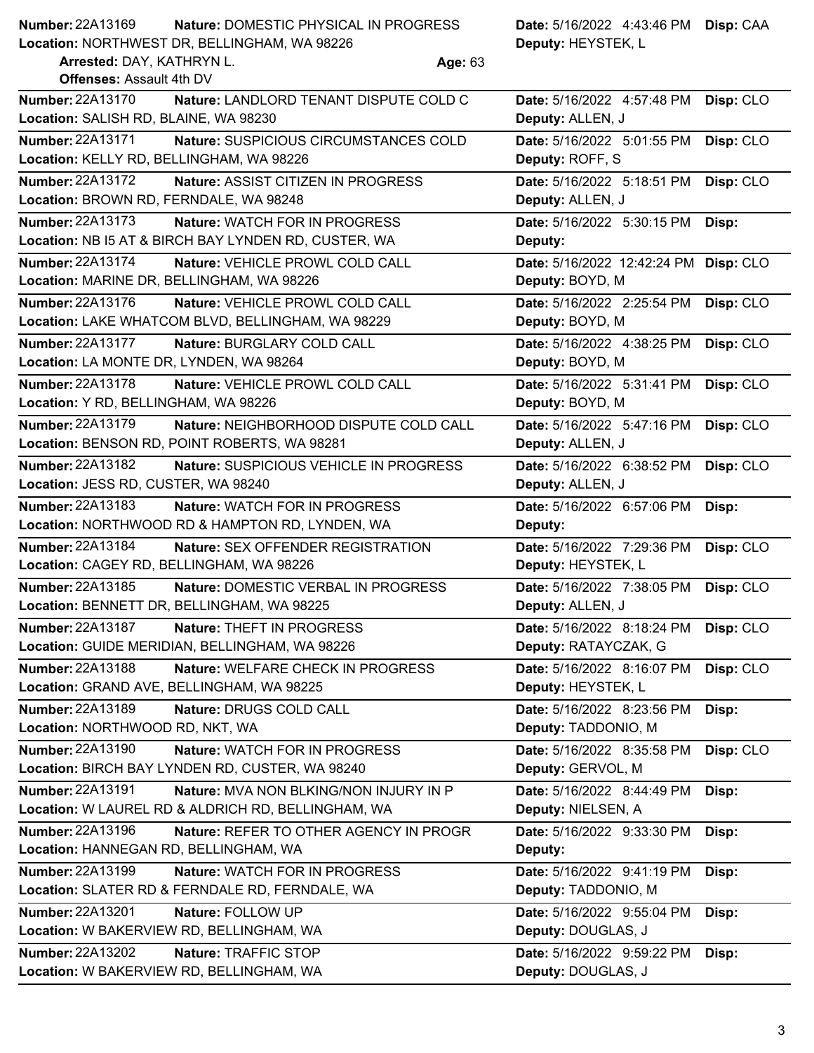| <b>Number: 22A13169</b>                                      | Nature: DOMESTIC PHYSICAL IN PROGRESS                |         | Date: 5/16/2022 4:43:46 PM Disp: CAA |           |
|--------------------------------------------------------------|------------------------------------------------------|---------|--------------------------------------|-----------|
|                                                              | Location: NORTHWEST DR, BELLINGHAM, WA 98226         |         | Deputy: HEYSTEK, L                   |           |
| Arrested: DAY, KATHRYN L.<br><b>Offenses: Assault 4th DV</b> |                                                      | Age: 63 |                                      |           |
| Number: 22A13170                                             | Nature: LANDLORD TENANT DISPUTE COLD C               |         | Date: 5/16/2022 4:57:48 PM           | Disp: CLO |
| Location: SALISH RD, BLAINE, WA 98230                        |                                                      |         | Deputy: ALLEN, J                     |           |
| Number: 22A13171                                             | Nature: SUSPICIOUS CIRCUMSTANCES COLD                |         | Date: 5/16/2022 5:01:55 PM           | Disp: CLO |
| Location: KELLY RD, BELLINGHAM, WA 98226                     |                                                      |         | Deputy: ROFF, S                      |           |
| Number: 22A13172                                             | Nature: ASSIST CITIZEN IN PROGRESS                   |         | Date: 5/16/2022 5:18:51 PM           | Disp: CLO |
| Location: BROWN RD, FERNDALE, WA 98248                       |                                                      |         | Deputy: ALLEN, J                     |           |
| <b>Number: 22A13173</b>                                      | <b>Nature: WATCH FOR IN PROGRESS</b>                 |         | Date: 5/16/2022 5:30:15 PM           | Disp:     |
|                                                              | Location: NB I5 AT & BIRCH BAY LYNDEN RD, CUSTER, WA |         | Deputy:                              |           |
| Number: 22A13174                                             | Nature: VEHICLE PROWL COLD CALL                      |         | Date: 5/16/2022 12:42:24 PM          | Disp: CLO |
|                                                              | Location: MARINE DR, BELLINGHAM, WA 98226            |         | Deputy: BOYD, M                      |           |
| Number: 22A13176                                             | Nature: VEHICLE PROWL COLD CALL                      |         | Date: 5/16/2022 2:25:54 PM           | Disp: CLO |
|                                                              | Location: LAKE WHATCOM BLVD, BELLINGHAM, WA 98229    |         | Deputy: BOYD, M                      |           |
| <b>Number: 22A13177</b>                                      | Nature: BURGLARY COLD CALL                           |         | Date: 5/16/2022 4:38:25 PM           | Disp: CLO |
| Location: LA MONTE DR, LYNDEN, WA 98264                      |                                                      |         | Deputy: BOYD, M                      |           |
| Number: 22A13178                                             | Nature: VEHICLE PROWL COLD CALL                      |         | Date: 5/16/2022 5:31:41 PM           | Disp: CLO |
| Location: Y RD, BELLINGHAM, WA 98226                         |                                                      |         | Deputy: BOYD, M                      |           |
| Number: 22A13179                                             | Nature: NEIGHBORHOOD DISPUTE COLD CALL               |         | Date: 5/16/2022 5:47:16 PM           | Disp: CLO |
|                                                              | Location: BENSON RD, POINT ROBERTS, WA 98281         |         | Deputy: ALLEN, J                     |           |
| Number: 22A13182                                             | Nature: SUSPICIOUS VEHICLE IN PROGRESS               |         | Date: 5/16/2022 6:38:52 PM           | Disp: CLO |
| Location: JESS RD, CUSTER, WA 98240                          |                                                      |         | Deputy: ALLEN, J                     |           |
| Number: 22A13183                                             | Nature: WATCH FOR IN PROGRESS                        |         | Date: 5/16/2022 6:57:06 PM           | Disp:     |
|                                                              | Location: NORTHWOOD RD & HAMPTON RD, LYNDEN, WA      |         | Deputy:                              |           |
| Number: 22A13184                                             | Nature: SEX OFFENDER REGISTRATION                    |         | Date: 5/16/2022 7:29:36 PM           | Disp: CLO |
| Location: CAGEY RD, BELLINGHAM, WA 98226                     |                                                      |         | Deputy: HEYSTEK, L                   |           |
| Number: 22A13185                                             | Nature: DOMESTIC VERBAL IN PROGRESS                  |         | Date: 5/16/2022 7:38:05 PM           | Disp: CLO |
|                                                              | Location: BENNETT DR, BELLINGHAM, WA 98225           |         | <b>Deputy: ALLEN, J</b>              |           |
| Number: 22A13187                                             | Nature: THEFT IN PROGRESS                            |         | Date: 5/16/2022 8:18:24 PM           | Disp: CLO |
|                                                              | Location: GUIDE MERIDIAN, BELLINGHAM, WA 98226       |         | Deputy: RATAYCZAK, G                 |           |
| Number: 22A13188                                             | Nature: WELFARE CHECK IN PROGRESS                    |         | Date: 5/16/2022 8:16:07 PM           | Disp: CLO |
|                                                              | Location: GRAND AVE, BELLINGHAM, WA 98225            |         | Deputy: HEYSTEK, L                   |           |
| <b>Number: 22A13189</b>                                      | Nature: DRUGS COLD CALL                              |         | Date: 5/16/2022 8:23:56 PM           | Disp:     |
| Location: NORTHWOOD RD, NKT, WA                              |                                                      |         | Deputy: TADDONIO, M                  |           |
| Number: 22A13190                                             | Nature: WATCH FOR IN PROGRESS                        |         | Date: 5/16/2022 8:35:58 PM           | Disp: CLO |
|                                                              | Location: BIRCH BAY LYNDEN RD, CUSTER, WA 98240      |         | Deputy: GERVOL, M                    |           |
| Number: 22A13191                                             | Nature: MVA NON BLKING/NON INJURY IN P               |         | Date: 5/16/2022 8:44:49 PM           | Disp:     |
|                                                              | Location: W LAUREL RD & ALDRICH RD, BELLINGHAM, WA   |         | Deputy: NIELSEN, A                   |           |
| Number: 22A13196                                             | Nature: REFER TO OTHER AGENCY IN PROGR               |         | Date: 5/16/2022 9:33:30 PM           | Disp:     |
| Location: HANNEGAN RD, BELLINGHAM, WA                        |                                                      |         | Deputy:                              |           |
| Number: 22A13199                                             | Nature: WATCH FOR IN PROGRESS                        |         | Date: 5/16/2022 9:41:19 PM           | Disp:     |
|                                                              | Location: SLATER RD & FERNDALE RD, FERNDALE, WA      |         | Deputy: TADDONIO, M                  |           |
| Number: 22A13201                                             | Nature: FOLLOW UP                                    |         | Date: 5/16/2022 9:55:04 PM           | Disp:     |
|                                                              | Location: W BAKERVIEW RD, BELLINGHAM, WA             |         | Deputy: DOUGLAS, J                   |           |
| Number: 22A13202                                             | Nature: TRAFFIC STOP                                 |         | Date: 5/16/2022 9:59:22 PM           | Disp:     |
|                                                              | Location: W BAKERVIEW RD, BELLINGHAM, WA             |         | Deputy: DOUGLAS, J                   |           |